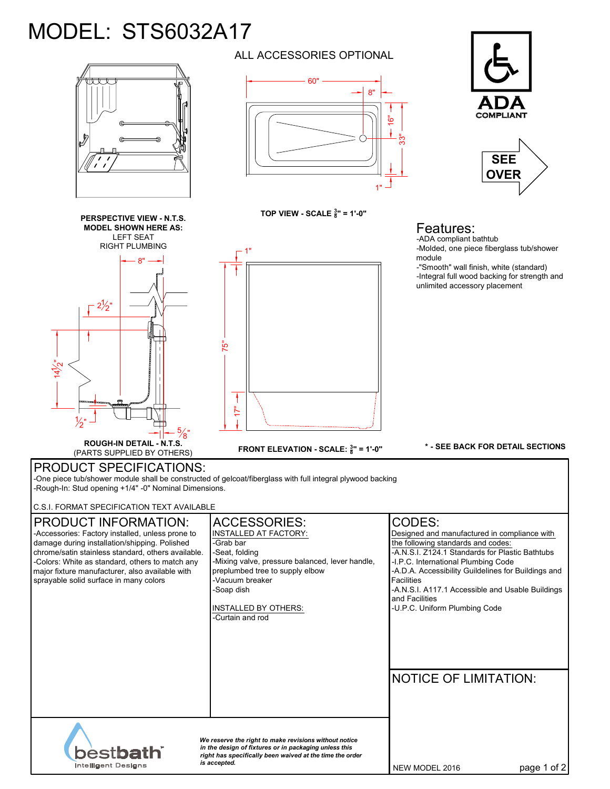## MODEL: STS6032A17



LEFT SEAT RIGHT PLUMBING **<sup>8</sup>" = 1'-0" PERSPECTIVE VIEW - N.T.S. MODEL SHOWN HERE AS:**



## PRODUCT SPECIFICATIONS:

-One piece tub/shower module shall be constructed of gelcoat/fiberglass with full integral plywood backing -Rough-In: Stud opening +1/4" -0" Nominal Dimensions.

75"

 $\sum_{i=1}^{n}$ 

 $\ddagger$ 

1"

 $\mathcal{L}$ 

| IC.S.I. FORMAT SPECIFICATION TEXT AVAILABLE                                                                                                                                                                                                                                                                                     |                                                                                                                                                                                                                                                       |                                                                                                                                                                                                                                                                                                                                                                           |
|---------------------------------------------------------------------------------------------------------------------------------------------------------------------------------------------------------------------------------------------------------------------------------------------------------------------------------|-------------------------------------------------------------------------------------------------------------------------------------------------------------------------------------------------------------------------------------------------------|---------------------------------------------------------------------------------------------------------------------------------------------------------------------------------------------------------------------------------------------------------------------------------------------------------------------------------------------------------------------------|
| PRODUCT INFORMATION:<br>-Accessories: Factory installed, unless prone to<br>damage during installation/shipping. Polished<br>chrome/satin stainless standard, others available.<br>-Colors: White as standard, others to match any<br>major fixture manufacturer, also available with<br>sprayable solid surface in many colors | <b>ACCESSORIES:</b><br>INSTALLED AT FACTORY:<br>-Grab bar<br>-Seat, folding<br>-Mixing valve, pressure balanced, lever handle,<br>preplumbed tree to supply elbow<br>-Vacuum breaker<br>-Soap dish<br><b>INSTALLED BY OTHERS:</b><br>-Curtain and rod | CODES:<br>Designed and manufactured in compliance with<br>the following standards and codes:<br>-A.N.S.I. Z124.1 Standards for Plastic Bathtubs<br>-I.P.C. International Plumbing Code<br>-A.D.A. Accessibility Guildelines for Buildings and<br><b>Facilities</b><br>-A.N.S.I. A117.1 Accessible and Usable Buildings<br>and Facilities<br>-U.P.C. Uniform Plumbing Code |
| <b>bestbath</b><br><b>Intelligent Designs</b>                                                                                                                                                                                                                                                                                   | We reserve the right to make revisions without notice<br>in the design of fixtures or in packaging unless this<br>right has specifically been waived at the time the order<br>is accepted.                                                            | <b>NOTICE OF LIMITATION:</b><br>NEW MODEL 2016<br>page 1 of 2                                                                                                                                                                                                                                                                                                             |

**FRONT ELEVATION - SCALE: <sup>3</sup> 8 " = 1'-0"**

ALL ACCESSORIES OPTIONAL



**TOP VIEW - SCALE**  $\frac{3}{8}$ **" = 1'-0"** 





## Features:

-"Smooth" wall finish, white (standard) -ADA compliant bathtub -Molded, one piece fiberglass tub/shower module

-Integral full wood backing for strength and unlimited accessory placement

**\* - SEE BACK FOR DETAIL SECTIONS**